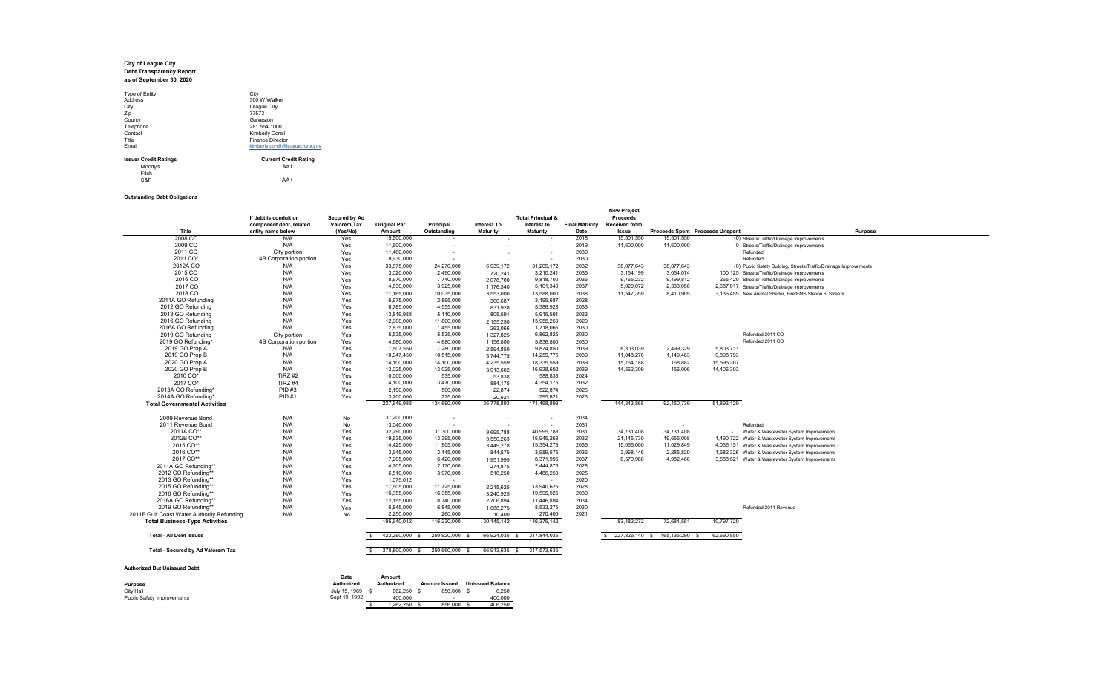# **City of League City Debt Transparency Report as of September 30, 2020**

| Type of Entity               | City                             |
|------------------------------|----------------------------------|
| <b>Address</b>               | 300 W Walker                     |
| City                         | League City                      |
| Zip                          | 77573                            |
| County                       | Galveston                        |
| Telephone                    | 281.554.1000                     |
| Contact                      | Kimberly Corell                  |
| Title                        | <b>Finance Director</b>          |
| Email                        | kimberly.corell@leaguecitytx.gov |
| <b>Issuer Credit Ratings</b> | <b>Current Credit Rating</b>     |
| Moody's                      | Aa1                              |

Moody's Aa1 Fitch S&P AA+

## **Outstanding Debt Obligations**

| Title                                      | component debt, related<br>entity name below | <b>Valorem Tax</b><br>(Yes/No) | <b>Original Par</b><br>Amount | Principal<br>Outstanding      | <b>Interest To</b><br><b>Maturity</b> | Interest to<br><b>Maturity</b> | <b>Final Maturity</b><br>Date | <b>Received from</b><br>Issue | <b>Proceeds Spent Proceeds Unspent</b> |                  | Purpose                                                           |
|--------------------------------------------|----------------------------------------------|--------------------------------|-------------------------------|-------------------------------|---------------------------------------|--------------------------------|-------------------------------|-------------------------------|----------------------------------------|------------------|-------------------------------------------------------------------|
| 2008 CO                                    | N/A                                          | Yes                            | 15,500,000                    |                               |                                       | $\overline{\phantom{a}}$       | 2018                          | 15,501,550                    | 15,501,550                             |                  | (0) Streets/Traffic/Drainage Improvements                         |
| 2009 CO                                    | N/A                                          | Yes                            | 11,600,000                    |                               |                                       |                                | 2019                          | 11,600,000                    | 11,600,000                             |                  | 0 Streets/Traffic/Drainage Improvements                           |
| 2011 CO                                    | City portion                                 | Yes                            | 11,460,000                    |                               |                                       |                                | 2030                          |                               |                                        | Refunded         |                                                                   |
| 2011 CO*                                   | 4B Corporation portion                       | Yes                            | 8,930,000                     |                               |                                       |                                | 2030                          |                               |                                        | Refunded         |                                                                   |
| 2012A CO                                   | N/A                                          | Yes                            | 33,675,000                    | 24,270,000                    | 6,939,172                             | 31,209,172                     | 2032                          | 38.077.643                    | 38.077.643                             |                  | (0) Public Safety Building, Streets/Traffic/Drainage Improvements |
| 2015 CO                                    | N/A                                          | Yes                            | 3.020.000                     | 2.490.000                     | 720,241                               | 3,210,241                      | 2035                          | 3.154.199                     | 3.054.074                              |                  | 100,125 Streets/Traffic/Drainage Improvements                     |
| 2016 CO                                    | N/A                                          | Yes                            | 8,970,000                     | 7,740,000                     | 2,078,700                             | 9,818,700                      | 2036                          | 9,765,232                     | 9,499,812                              |                  | 265,420 Streets/Traffic/Drainage Improvements                     |
| 2017 CO                                    | N/A                                          | Yes                            | 4,630,000                     | 3,925,000                     | 1,176,340                             | 5,101,340                      | 2037                          | 5,020,072                     | 2,333,056                              |                  | 2,687,017 Streets/Traffic/Drainage Improvements                   |
| 2018 CO                                    | N/A                                          | Yes                            | 11,165,000                    | 10,035,000                    | 3,553,000                             | 13,588,000                     | 2038                          | 11,547,359                    | 8,410,905                              |                  | 3,136,455 New Animal Shelter, Fire/EMS Station 6, Streets         |
| 2011A GO Refunding                         | N/A                                          | Yes                            | 6.975.000                     | 2,895,000                     | 300.687                               | 3,195,687                      | 2028                          |                               |                                        |                  |                                                                   |
| 2012 GO Refunding                          | N/A                                          | Yes                            | 6.785.000                     | 4.555.000                     | 831,928                               | 5,386,928                      | 2033                          |                               |                                        |                  |                                                                   |
| 2013 GO Refunding                          | N/A                                          | Yes                            | 13.819.988                    | 5.110.000                     | 805.591                               | 5,915,591                      | 2033                          |                               |                                        |                  |                                                                   |
| 2016 GO Refunding                          | N/A                                          | Yes                            | 12,900,000                    | 11,800,000                    | 2,155,250                             | 13,955,250                     | 2029                          |                               |                                        |                  |                                                                   |
| 2016A GO Refunding                         | N/A                                          | Yes                            | 2,835,000                     | 1,455,000                     | 263,066                               | 1,718,066                      | 2030                          |                               |                                        |                  |                                                                   |
| 2019 GO Refunding                          | City portion                                 | Yes                            | 5,535,000                     | 5,535,000                     | 1,327,825                             | 6,862,825                      | 2030                          |                               |                                        | Refunded 2011 CO |                                                                   |
| 2019 GO Refunding*                         | 4B Corporation portion                       | Yes                            | 4.680.000                     | 4,680,000                     | 1,156,800                             | 5,836,800                      | 2030                          |                               |                                        | Refunded 2011 CO |                                                                   |
| 2019 GO Prop A                             | N/A                                          | Yes                            | 7,607,550                     | 7,280,000                     | 2,594,850                             | 9,874,850                      | 2039                          | 8,303,039                     | 2,499,329                              | 5.803.711        |                                                                   |
| 2019 GO Prop B                             | N/A                                          | Yes                            | 10.947.450                    | 10,515,000                    | 3.744.775                             | 14,259,775                     | 2039                          | 11,048,276                    | 1,149,483                              | 9,898,793        |                                                                   |
| 2020 GO Prop A                             | N/A                                          | Yes                            | 14,100,000                    | 14,100,000                    | 4.235.559                             | 18,335,559                     | 2039                          | 15,764,188                    | 168,882                                | 15,595,307       |                                                                   |
| 2020 GO Prop B                             | N/A                                          | Yes                            | 13.025.000                    | 13.025.000                    | 3.913.602                             | 16.938.602                     | 2039                          | 14.562.309                    | 156,006                                | 14,406,303       |                                                                   |
| 2010 CO*                                   | TIRZ #2                                      | Yes                            | 10,000,000                    | 535,000                       | 53,838                                | 588,838                        | 2024                          |                               |                                        |                  |                                                                   |
| 2017 CO*                                   | TIRZ <sub>#4</sub>                           | Yes                            | 4,100,000                     | 3,470,000                     | 884,175                               | 4,354,175                      | 2032                          |                               |                                        |                  |                                                                   |
| 2013A GO Refunding*                        | PID #3                                       | Yes                            | 2,190,000                     | 500,000                       | 22,874                                | 522,874                        | 2026                          |                               |                                        |                  |                                                                   |
| 2014A GO Refunding                         | <b>PID#1</b>                                 | Yes                            | 3,200,000                     | 775,000                       | 20,621                                | 795,621                        | 2023                          |                               |                                        |                  |                                                                   |
| <b>Total Governmental Activities</b>       |                                              |                                | 227,649,988                   | 134,690,000                   | 36,778,893                            | 171,468,893                    |                               | 144,343,868                   | 92,450,739                             | 51,893,129       |                                                                   |
| 2009 Revenue Bond                          | N/A                                          | No                             | 37,200,000                    |                               |                                       |                                | 2034                          |                               |                                        |                  |                                                                   |
| 2011 Revenue Bond                          | N/A                                          | No                             | 13,040,000                    |                               |                                       |                                | 2031                          |                               |                                        | Refunded         |                                                                   |
| 2011A CO**                                 | N/A                                          | Yes                            | 32,290,000                    | 31,300,000                    | 9.695.788                             | 40,995,788                     | 2031                          | 34,731,408                    | 34,731,408                             |                  | Water & Wastewater System Improvements                            |
| 2012B CO**                                 | N/A                                          | Yes                            | 19.635.000                    | 13.395.000                    | 3,550,263                             | 16,945,263                     | 2032                          | 21,145,730                    | 19,655,008                             |                  | 1,490,722 Water & Wastewater System Improvements                  |
| 2015 CO**                                  | N/A                                          | Yes                            | 14.425.000                    | 11.905.000                    | 3,449,278                             | 15,354,278                     | 2035                          | 15,066,000                    | 11,029,849                             |                  | 4,036,151 Water & Wastewater System Improvements                  |
| 2016 CO**                                  | N/A                                          | Yes                            | 3,645,000                     | 3,145,000                     | 844,575                               | 3,989,575                      | 2036                          | 3,968,146                     | 2,285,820                              |                  | 1,682,326 Water & Wastewater System Improvements                  |
| 2017 CO**                                  | N/A                                          | Yes                            | 7,905,000                     | 6,420,000                     | 1.951.995                             | 8,371,995                      | 2037                          | 8,570,988                     | 4,982,466                              |                  | 3,588,521 Water & Wastewater System Improvements                  |
| 2011A GO Refunding**                       | N/A                                          | Yes                            | 4,705,000                     | 2,170,000                     | 274.875                               | 2,444,875                      | 2028                          |                               |                                        |                  |                                                                   |
| 2012 GO Refunding*                         | N/A                                          | Yes                            | 6,510,000                     | 3,970,000                     | 516.250                               | 4,486,250                      | 2025                          |                               |                                        |                  |                                                                   |
| 2013 GO Refunding*1                        | N/A                                          | Yes                            | 1,075,012                     | $\sim$                        |                                       | $\overline{\phantom{a}}$       | 2020                          |                               |                                        |                  |                                                                   |
| 2015 GO Refunding*1                        | N/A                                          | Yes                            | 17.605.000                    | 11.725.000                    | 2,215,625                             | 13,940,625                     | 2028                          |                               |                                        |                  |                                                                   |
| 2016 GO Refunding*                         | N/A                                          | Yes                            | 16,355,000                    | 16,355,000                    | 3,240,925                             | 19,595,925                     | 2030                          |                               |                                        |                  |                                                                   |
| 2016A GO Refunding**                       | N/A                                          | Yes                            | 12,155,000                    | 8,740,000                     | 2,706,894                             | 11,446,894                     | 2034                          |                               |                                        |                  |                                                                   |
| 2019 GO Refunding*                         | N/A                                          | Yes                            | 6,845,000                     | 6,845,000                     | 1.688.275                             | 8,533,275                      | 2030                          |                               |                                        |                  | Refunded 2011 Revenue                                             |
| 2011F Gulf Coast Water Authority Refunding | N/A                                          | No                             | 2.250.000                     | 260,000                       | 10.400                                | 270,400                        | 2021                          |                               |                                        |                  |                                                                   |
| <b>Total Business-Type Activities</b>      |                                              |                                | 195,640,012                   | 116,230,000                   | 30,145,142                            | 146,375,142                    |                               | 83,482,272                    | 72,684,551                             | 10,797,720       |                                                                   |
| <b>Total - All Debt Issues</b>             |                                              |                                | 423,290,000<br>- 53           | 250,920,000                   | 66,924,035<br>- S                     | 317,844,035                    |                               | 227,826,140 \$                | 165, 135, 290                          | 62,690,850       |                                                                   |
| Total - Secured by Ad Valorem Tax          |                                              |                                |                               | 370,800,000 \$ 250,660,000 \$ |                                       | 66.913.635 \$ 317.573.635      |                               |                               |                                        |                  |                                                                   |

## **Authorized But Unissued Debt**

|                            | <b>Date</b>   | Amount     |                      |                         |
|----------------------------|---------------|------------|----------------------|-------------------------|
| <b>Purpose</b>             | Authorized    | Authorized | <b>Amount Issued</b> | <b>Unissued Balance</b> |
| City Hall                  | July 15, 1969 | 862.250    | 856,000              | 6.250                   |
| Public Safety Improvements | Sept 19, 1992 | 400.000    |                      | 400.000                 |
|                            |               | .262.250   | 856.000              | 406.250                 |